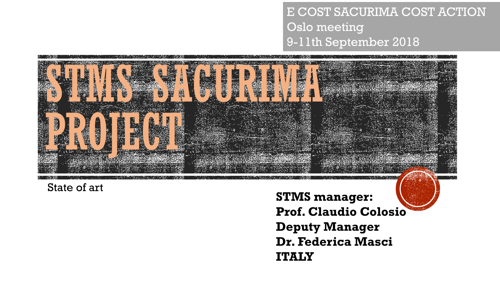E COST SACURIMA COST ACTION Oslo meeting 9-11th September 2018



State of art

**STMS manager: Prof. Claudio Colosio Deputy Manager Dr. Federica Masci ITALY**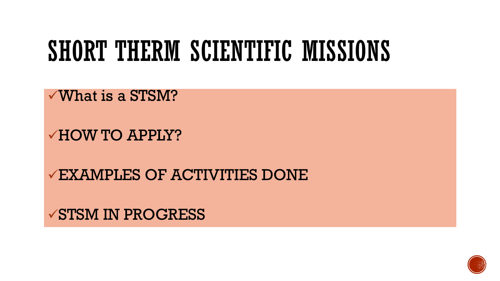#### SHORT THERM SCIENTIFIC MISSIONS

 $\sqrt{W}$ hat is a STSM?

✓HOW TO APPLY?

✓EXAMPLES OF ACTIVITIES DONE

**√STSM IN PROGRESS** 

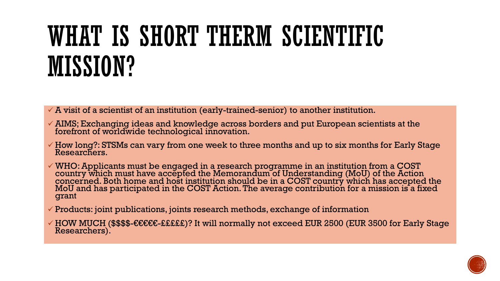# WHAT IS SHORT THERM SCIENTIFIC MISSION?

 $\checkmark$  A visit of a scientist of an institution (early-trained-senior) to another institution.

- ✓ AIMS; Exchanging ideas and knowledge across borders and put European scientists at the forefront of worldwide technological innovation.
- $\checkmark$  How long?: STSMs can vary from one week to three months and up to six months for Early Stage Researchers.
- $\checkmark$  WHO: Applicants must be engaged in a research programme in an institution from a COST country which must have accepted the Memorandum of Understanding (MoU) of the Action concerned. Both home and host institution should be in a COST country which has accepted the MoU and has participated in the COST Action. The average contribution for a mission is a fixed grant
- $\checkmark$  Products: joint publications, joints research methods, exchange of information
- ✓ HOW MUCH (\$\$\$\$-€€€€€-£££££)? It will normally not exceed EUR 2500 (EUR 3500 for Early Stage Researchers).

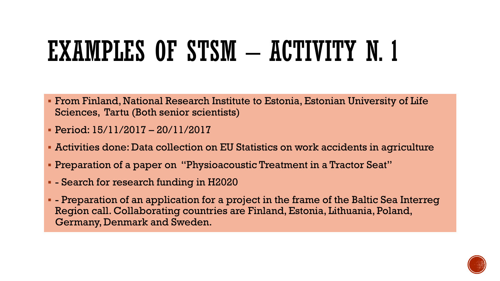# EXAMPLES OF STSM - ACTIVITY N. 1

- From Finland, National Research Institute to Estonia, Estonian University of Life Sciences, Tartu (Both senior scientists)
- Period: 15/11/2017 20/11/2017
- Activities done: Data collection on EU Statistics on work accidents in agriculture
- Preparation of a paper on "Physioacoustic Treatment in a Tractor Seat"
- - Search for research funding in H2020
- - Preparation of an application for a project in the frame of the Baltic Sea Interreg Region call. Collaborating countries are Finland, Estonia, Lithuania, Poland, Germany, Denmark and Sweden.

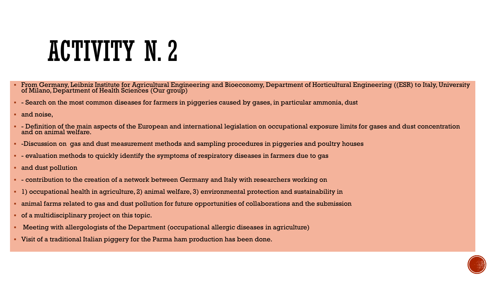### ACTIVITY N. 2

- From Germany, Leibniz Institute for Agricultural Engineering and Bioeconomy, Department of Horticultural Engineering ((ESR) to Italy, University of Milano, Department of Health Sciences (Our group)
- - Search on the most common diseases for farmers in piggeries caused by gases, in particular ammonia, dust
- and noise,
- - Definition of the main aspects of the European and international legislation on occupational exposure limits for gases and dust concentration and on animal welfare.
- -Discussion on gas and dust measurement methods and sampling procedures in piggeries and poultry houses
- - evaluation methods to quickly identify the symptoms of respiratory diseases in farmers due to gas
- and dust pollution
- - contribution to the creation of a network between Germany and Italy with researchers working on
- 1) occupational health in agriculture, 2) animal welfare, 3) environmental protection and sustainability in
- animal farms related to gas and dust pollution for future opportunities of collaborations and the submission
- of a multidisciplinary project on this topic.
- Meeting with allergologists of the Department (occupational allergic diseases in agriculture)
- Visit of a traditional Italian piggery for the Parma ham production has been done.

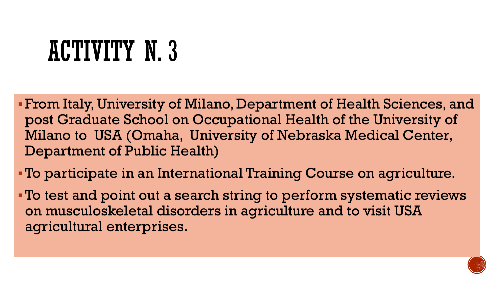# ACTIVITY N. 3

▪From Italy, University of Milano, Department of Health Sciences, and post Graduate School on Occupational Health of the University of Milano to USA (Omaha, University of Nebraska Medical Center, Department of Public Health)

▪To participate in an International Training Course on agriculture.

▪To test and point out a search string to perform systematic reviews on musculoskeletal disorders in agriculture and to visit USA agricultural enterprises.

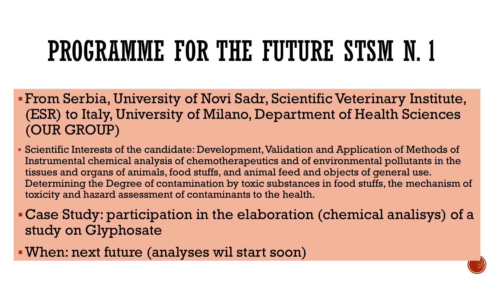# PROGRAMME FOR THE FUTURE STSM N. 1

- ▪From Serbia, University of Novi Sadr, Scientific Veterinary Institute, (ESR) to Italy, University of Milano, Department of Health Sciences (OUR GROUP)
- Scientific Interests of the candidate: Development, Validation and Application of Methods of Instrumental chemical analysis of chemotherapeutics and of environmental pollutants in the tissues and organs of animals, food stuffs, and animal feed and objects of general use. Determining the Degree of contamination by toxic substances in food stuffs, the mechanism of toxicity and hazard assessment of contaminants to the health.
- ▪Case Study: participation in the elaboration (chemical analisys) of a study on Glyphosate
- ▪When: next future (analyses wil start soon)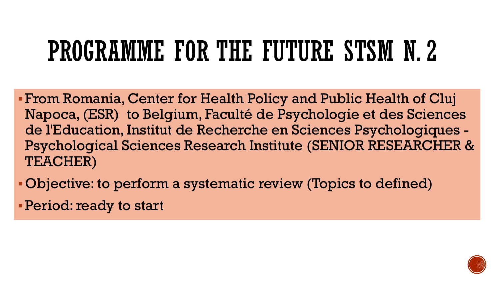# PROGRAMME FOR THE FUTURE STSM N. 2

▪From Romania, Center for Health Policy and Public Health of Cluj Napoca, (ESR) to Belgium, Faculté de Psychologie et des Sciences de l'Education, Institut de Recherche en Sciences Psychologiques - Psychological Sciences Research Institute (SENIOR RESEARCHER & TEACHER)

▪Objective: to perform a systematic review (Topics to defined)

**• Period: ready to start** 

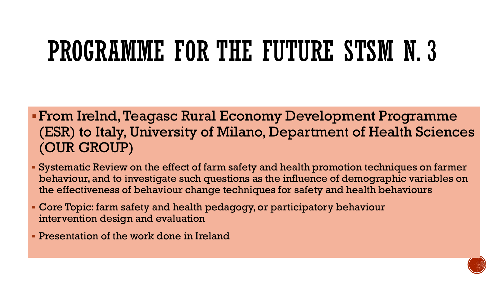# PROGRAMME FOR THE FUTURE STSM N. 3

- ▪From Irelnd, Teagasc Rural Economy Development Programme (ESR) to Italy, University of Milano, Department of Health Sciences (OUR GROUP)
- Systematic Review on the effect of farm safety and health promotion techniques on farmer behaviour, and to investigate such questions as the influence of demographic variables on the effectiveness of behaviour change techniques for safety and health behaviours
- Core Topic: farm safety and health pedagogy, or participatory behaviour intervention design and evaluation
- **Presentation of the work done in Ireland**

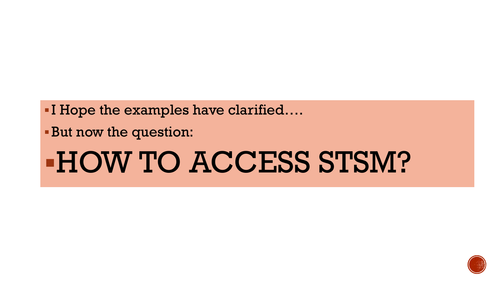■ I Hope the examples have clarified....

▪But now the question:

# ▪HOW TO ACCESS STSM?

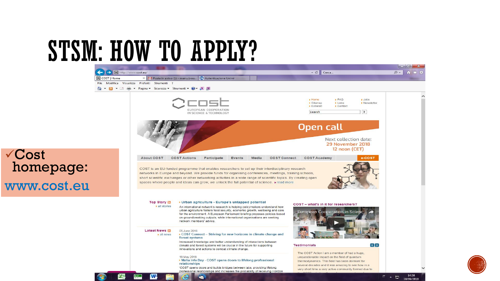**MA** 

**EXICE** 

X

√Cost

homepage:

www.cost.eu



professional relationships and increases the probability of receiving Horizon

 $\blacksquare$ 





14:58

18/06/2018

 **- 일**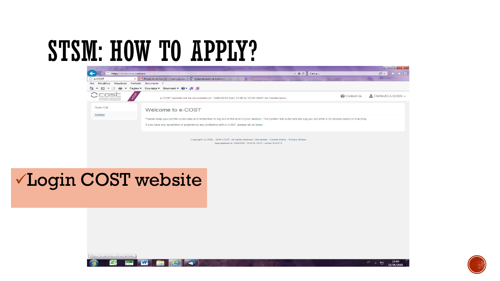

#### VLogin COST website





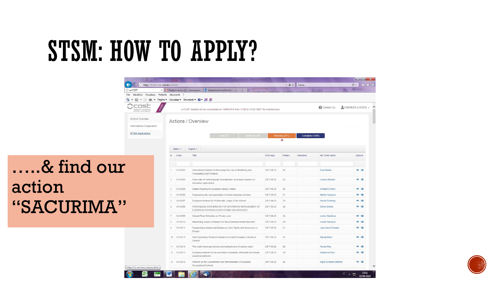

 $\circ$ 

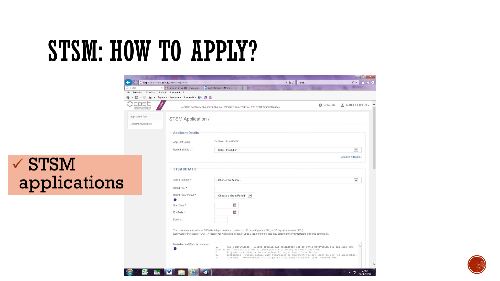$\checkmark$  STSM

|               |                                                 |                                                                                                                                                                                                                                                                                         |                                                                                                                                                                                                                                                                                                                                                                                                                                                      |               | $\begin{array}{c c c c c} \hline \multicolumn{1}{c }{\mathbb{D}} & \multicolumn{1}{c }{\mathbb{X}} \end{array}$ |
|---------------|-------------------------------------------------|-----------------------------------------------------------------------------------------------------------------------------------------------------------------------------------------------------------------------------------------------------------------------------------------|------------------------------------------------------------------------------------------------------------------------------------------------------------------------------------------------------------------------------------------------------------------------------------------------------------------------------------------------------------------------------------------------------------------------------------------------------|---------------|-----------------------------------------------------------------------------------------------------------------|
|               |                                                 | https://e-services.cost.eu/stsm/apply/new                                                                                                                                                                                                                                               |                                                                                                                                                                                                                                                                                                                                                                                                                                                      | - A C   Cerca | - م                                                                                                             |
|               | C e-COST                                        | X M Posta in arrivo (1) - manu.boss 10 Autenticazione Unimi                                                                                                                                                                                                                             |                                                                                                                                                                                                                                                                                                                                                                                                                                                      |               |                                                                                                                 |
|               | File Modifica Visualizza Preferiti Strumenti ?  |                                                                                                                                                                                                                                                                                         |                                                                                                                                                                                                                                                                                                                                                                                                                                                      |               |                                                                                                                 |
|               | <b>A</b><br>$-5$<br>▼ 国 ●                       | ▼ Pagina ▼ Sicurezza ▼ Strumenti ▼ 2 ▼ N N                                                                                                                                                                                                                                              |                                                                                                                                                                                                                                                                                                                                                                                                                                                      |               |                                                                                                                 |
|               | EUROPEAN COOPERATION<br>IN SCIENCE & TECHNOLOGY |                                                                                                                                                                                                                                                                                         | e-COST website will be unavailable on 19/06/2018 from 12:00 to 13:00 CEST for maintenance                                                                                                                                                                                                                                                                                                                                                            | Contact Us    | $\triangle$ EMANUELA BOSSI $\star$                                                                              |
|               | Application Form                                | <b>STSM Application /</b>                                                                                                                                                                                                                                                               |                                                                                                                                                                                                                                                                                                                                                                                                                                                      |               |                                                                                                                 |
|               | « STSM Applications                             |                                                                                                                                                                                                                                                                                         |                                                                                                                                                                                                                                                                                                                                                                                                                                                      |               |                                                                                                                 |
|               |                                                 | <b>Applicant Details</b>                                                                                                                                                                                                                                                                |                                                                                                                                                                                                                                                                                                                                                                                                                                                      |               |                                                                                                                 |
|               |                                                 | Applicant Name:                                                                                                                                                                                                                                                                         | Dr EMANUELA BOSSI                                                                                                                                                                                                                                                                                                                                                                                                                                    |               |                                                                                                                 |
|               |                                                 | Home Institution: *                                                                                                                                                                                                                                                                     | -- Select Institution --                                                                                                                                                                                                                                                                                                                                                                                                                             |               | $\check{ }$                                                                                                     |
|               |                                                 |                                                                                                                                                                                                                                                                                         |                                                                                                                                                                                                                                                                                                                                                                                                                                                      |               | <b>Add/Edit Affiliations</b>                                                                                    |
| $\angle$ STSM |                                                 | <b>STSM DETAILS</b>                                                                                                                                                                                                                                                                     |                                                                                                                                                                                                                                                                                                                                                                                                                                                      |               |                                                                                                                 |
| applications  |                                                 | Action Number: *                                                                                                                                                                                                                                                                        | -- Choose an Action --                                                                                                                                                                                                                                                                                                                                                                                                                               |               | $\check{ }$                                                                                                     |
|               |                                                 | STSM Title: *                                                                                                                                                                                                                                                                           |                                                                                                                                                                                                                                                                                                                                                                                                                                                      |               |                                                                                                                 |
|               |                                                 | Select Grant Period: *                                                                                                                                                                                                                                                                  | -- Choose a Grant Period -- V                                                                                                                                                                                                                                                                                                                                                                                                                        |               |                                                                                                                 |
|               |                                                 | $\bullet$                                                                                                                                                                                                                                                                               |                                                                                                                                                                                                                                                                                                                                                                                                                                                      |               |                                                                                                                 |
|               |                                                 | Start Date: *                                                                                                                                                                                                                                                                           | Ë                                                                                                                                                                                                                                                                                                                                                                                                                                                    |               |                                                                                                                 |
|               |                                                 | End Date: *                                                                                                                                                                                                                                                                             | 篇                                                                                                                                                                                                                                                                                                                                                                                                                                                    |               |                                                                                                                 |
|               |                                                 |                                                                                                                                                                                                                                                                                         |                                                                                                                                                                                                                                                                                                                                                                                                                                                      |               |                                                                                                                 |
|               |                                                 | Duration:                                                                                                                                                                                                                                                                               |                                                                                                                                                                                                                                                                                                                                                                                                                                                      |               |                                                                                                                 |
|               |                                                 | The minimum duration for an STSM is 5 days, maximum duration is 180 days (if you are ECI), or 90 days (if you are not ECI).<br>Early Career Investigator (ECI) - A researcher within a time span of up to 8 years from the date they obtained the PhD/doctorate (full-time equivalent). |                                                                                                                                                                                                                                                                                                                                                                                                                                                      |               |                                                                                                                 |
|               |                                                 | Motivation and Workplan summary:<br>(i                                                                                                                                                                                                                                                  | Aim a motivation - Please explain the scientific and/or other motivation for the STSM and<br>what scientific and/or other outcomes you aim to accomplish with the STSM.<br>$2 -$<br>Proposed contribution to the scientific objectives of the Action.<br>Techniques - Please detail what techniques or equipment you may learn to use, if applicable.<br>3.<br>4.1<br>Planning - Please detail the steps you will take to achieve your proposed aim. |               |                                                                                                                 |
|               | $\overline{\mathbf{v}}$                         | <b>RESERVE</b>                                                                                                                                                                                                                                                                          |                                                                                                                                                                                                                                                                                                                                                                                                                                                      |               | $\checkmark$<br>15:03                                                                                           |



18/06/2018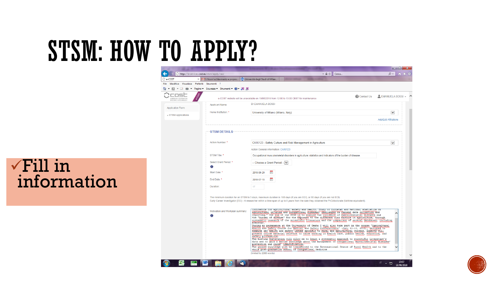$(\blacktriangle)$  $\circ$  e-COST -<br>File Modi

> Applicati « STSM

 $\sqrt{Fill}$  in information

|                                           |                                                   |                                                                                                                                                                                                                                                                                                                                                                                                                                                                                                                                                                                                                                         | $\blacksquare$ i $\blacksquare$ i   | $-\mathbf{x}$    |
|-------------------------------------------|---------------------------------------------------|-----------------------------------------------------------------------------------------------------------------------------------------------------------------------------------------------------------------------------------------------------------------------------------------------------------------------------------------------------------------------------------------------------------------------------------------------------------------------------------------------------------------------------------------------------------------------------------------------------------------------------------------|-------------------------------------|------------------|
| https://e-services.cost.eu/stsm/apply/new |                                                   | - A C<br>Cerca                                                                                                                                                                                                                                                                                                                                                                                                                                                                                                                                                                                                                          | $\Omega$ +                          | $\star$ $\alpha$ |
| ×                                         | I: Nuovi achievments e propos                     | m Università degli Studi di Milan                                                                                                                                                                                                                                                                                                                                                                                                                                                                                                                                                                                                       |                                     |                  |
| ica Visualizza                            | Preferiti Strumenti ?                             |                                                                                                                                                                                                                                                                                                                                                                                                                                                                                                                                                                                                                                         |                                     |                  |
|                                           | ▼ □ ■ ▼ Paqina ▼ Sicurezza ▼ Strumenti ▼ ● ▼ ■ IN |                                                                                                                                                                                                                                                                                                                                                                                                                                                                                                                                                                                                                                         |                                     |                  |
| M COOPERATION<br>E & TECHNOLOGY           |                                                   | <b>Contact Us</b><br>e-COST website will be unavailable on 19/06/2018 from 12:00 to 13:00 CEST for maintenance                                                                                                                                                                                                                                                                                                                                                                                                                                                                                                                          | $\triangle$ EMANUELA BOSSI $\sim$ ^ |                  |
| on Form                                   | <b>Applicant Name:</b>                            | Dr EMANUELA BOSSI                                                                                                                                                                                                                                                                                                                                                                                                                                                                                                                                                                                                                       |                                     |                  |
| <b>Applications</b>                       | Home Institution: *                               | University of Milano (Milano, Italy)                                                                                                                                                                                                                                                                                                                                                                                                                                                                                                                                                                                                    | $\checkmark$                        |                  |
|                                           |                                                   |                                                                                                                                                                                                                                                                                                                                                                                                                                                                                                                                                                                                                                         | <b>Add/Edit Affiliations</b>        |                  |
|                                           | <b>STSM DETAILS</b>                               |                                                                                                                                                                                                                                                                                                                                                                                                                                                                                                                                                                                                                                         |                                     |                  |
|                                           | Action Number: *                                  | CA16123 - Safety Culture and Risk Management in Agriculture                                                                                                                                                                                                                                                                                                                                                                                                                                                                                                                                                                             | $\checkmark$                        |                  |
|                                           |                                                   | Action General information: CA16123                                                                                                                                                                                                                                                                                                                                                                                                                                                                                                                                                                                                     |                                     |                  |
|                                           | STSM Title: *                                     | Occupational musculoskeletal disorders in agriculture: statistics and indicators of the burden of disease.                                                                                                                                                                                                                                                                                                                                                                                                                                                                                                                              |                                     |                  |
|                                           | Select Grant Period: *<br>Ø                       | -- Choose a Grant Period --   V                                                                                                                                                                                                                                                                                                                                                                                                                                                                                                                                                                                                         |                                     |                  |
|                                           | Start Date: *                                     | Ë<br>2018-06-29                                                                                                                                                                                                                                                                                                                                                                                                                                                                                                                                                                                                                         |                                     |                  |
|                                           | End Date:                                         | 2018-07-15<br>圃                                                                                                                                                                                                                                                                                                                                                                                                                                                                                                                                                                                                                         |                                     |                  |
|                                           | Duration:                                         | 17                                                                                                                                                                                                                                                                                                                                                                                                                                                                                                                                                                                                                                      |                                     |                  |
|                                           |                                                   | The minimum duration for an STSM is 5 days, maximum duration is 180 days (if you are ECI), or 90 days (if you are not ECI).<br>Early Career Investigator (ECI) - A researcher within a time span of up to 8 years from the date they obtained the PhD/doctorate (full-time equivalent).                                                                                                                                                                                                                                                                                                                                                 |                                     |                  |
|                                           | Motivation and Workplan summary:<br>Œ             | indicators for agricultural safety and health. Study of Eurostat and National statistics on<br>agricultural injuries and occupational diseases; challenges in current data collection and<br>reporting." The aim of the STSM is to analyze the incidence of musculoskeletal diseases and<br>the "burden of disease" for the exposure to the different risk factors in agriculture, through<br>systematic research of the scientific literature and the comparison of several databases, including<br>EUROSTAT.                                                                                                                          |                                     |                  |
|                                           |                                                   | During my permanence at the University of Omaha I will also take part in the course "Agricultural<br>Health and Safety Course for Medical and Safety Professionals" (July 10-13, 2018), designed to<br>examine key health and safety issues specific to rural and agricultural workers. Experts will<br>present course material relevant to those working in health care, public health, education, and<br>safety professions.<br>The hosting Institution will allow me to learn a systematic approach to scientific literature's<br>data and to gain a better knowledge about the management of occupational musculoskeletal diseases' |                                     |                  |
|                                           |                                                   | prevention and risks' identification.<br>The gained knowledge will be transferred to the International Centre of Rural Health and to the<br>whole post-graduation school of Occupational Medicine                                                                                                                                                                                                                                                                                                                                                                                                                                       |                                     |                  |
|                                           |                                                   | (limited to 2000 words)                                                                                                                                                                                                                                                                                                                                                                                                                                                                                                                                                                                                                 |                                     |                  |
| 蘭田                                        | <b>W</b><br>e<br>$\mathcal{L}$                    |                                                                                                                                                                                                                                                                                                                                                                                                                                                                                                                                                                                                                                         | 15:07<br><b>Ⅱ ▲ 扫</b>               |                  |